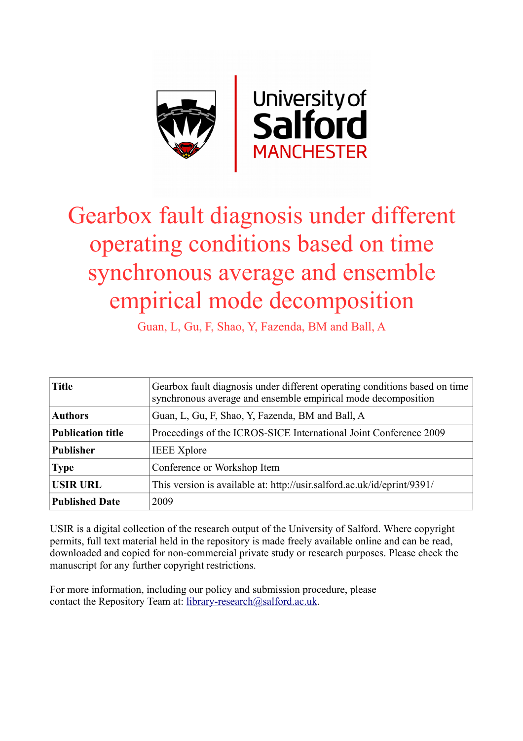

# Gearbox fault diagnosis under different operating conditions based on time synchronous average and ensemble empirical mode decomposition

Guan, L, Gu, F, Shao, Y, Fazenda, BM and Ball, A

| <b>Title</b>             | Gearbox fault diagnosis under different operating conditions based on time<br>synchronous average and ensemble empirical mode decomposition |  |
|--------------------------|---------------------------------------------------------------------------------------------------------------------------------------------|--|
| <b>Authors</b>           | Guan, L, Gu, F, Shao, Y, Fazenda, BM and Ball, A                                                                                            |  |
| <b>Publication title</b> | Proceedings of the ICROS-SICE International Joint Conference 2009                                                                           |  |
| <b>Publisher</b>         | <b>IEEE</b> Xplore                                                                                                                          |  |
| <b>Type</b>              | Conference or Workshop Item                                                                                                                 |  |
| <b>USIR URL</b>          | This version is available at: http://usir.salford.ac.uk/id/eprint/9391/                                                                     |  |
| <b>Published Date</b>    | 2009                                                                                                                                        |  |

USIR is a digital collection of the research output of the University of Salford. Where copyright permits, full text material held in the repository is made freely available online and can be read, downloaded and copied for non-commercial private study or research purposes. Please check the manuscript for any further copyright restrictions.

For more information, including our policy and submission procedure, please contact the Repository Team at: [library-research@salford.ac.uk.](mailto:library-research@salford.ac.uk)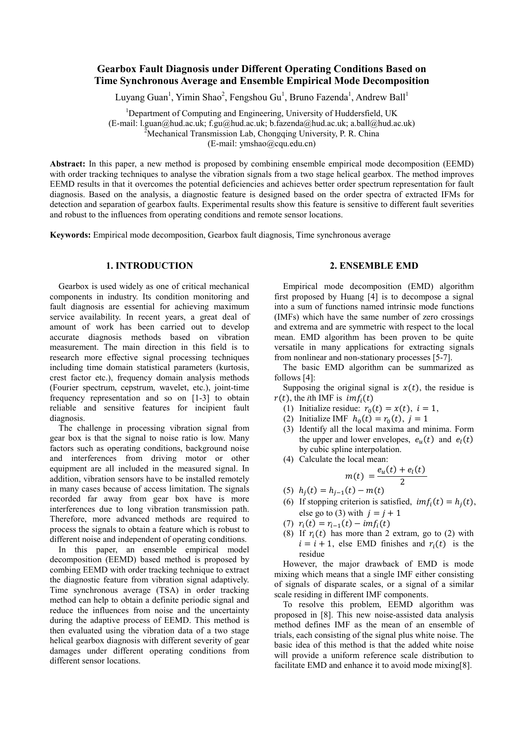# **Gearbox Fault Diagnosis under Different Operating Conditions Based on Time Synchronous Average and Ensemble Empirical Mode Decomposition**

Luyang Guan<sup>1</sup>, Yimin Shao<sup>2</sup>, Fengshou Gu<sup>1</sup>, Bruno Fazenda<sup>1</sup>, Andrew Ball<sup>1</sup>

<sup>1</sup>Department of Computing and Engineering, University of Huddersfield, UK (E-mail: l.guan@hud.ac.uk; f.gu@hud.ac.uk; b.fazenda@hud.ac.uk; a.ball@hud.ac.uk) 2

 $\alpha^2$ Mechanical Transmission Lab, Chongqing University, P. R. China

(E-mail: ymshao@cqu.edu.cn)

**Abstract:** In this paper, a new method is proposed by combining ensemble empirical mode decomposition (EEMD) with order tracking techniques to analyse the vibration signals from a two stage helical gearbox. The method improves EEMD results in that it overcomes the potential deficiencies and achieves better order spectrum representation for fault diagnosis. Based on the analysis, a diagnostic feature is designed based on the order spectra of extracted IFMs for detection and separation of gearbox faults. Experimental results show this feature is sensitive to different fault severities and robust to the influences from operating conditions and remote sensor locations.

**Keywords:** Empirical mode decomposition, Gearbox fault diagnosis, Time synchronous average

# **1. INTRODUCTION**

Gearbox is used widely as one of critical mechanical components in industry. Its condition monitoring and fault diagnosis are essential for achieving maximum service availability. In recent years, a great deal of amount of work has been carried out to develop accurate diagnosis methods based on vibration measurement. The main direction in this field is to research more effective signal processing techniques including time domain statistical parameters (kurtosis, crest factor etc.), frequency domain analysis methods (Fourier spectrum, cepstrum, wavelet, etc.), joint-time frequency representation and so on [1-3] to obtain reliable and sensitive features for incipient fault diagnosis.

The challenge in processing vibration signal from gear box is that the signal to noise ratio is low. Many factors such as operating conditions, background noise and interferences from driving motor or other equipment are all included in the measured signal. In addition, vibration sensors have to be installed remotely in many cases because of access limitation. The signals recorded far away from gear box have is more interferences due to long vibration transmission path. Therefore, more advanced methods are required to process the signals to obtain a feature which is robust to different noise and independent of operating conditions.

In this paper, an ensemble empirical model decomposition (EEMD) based method is proposed by combing EEMD with order tracking technique to extract the diagnostic feature from vibration signal adaptively. Time synchronous average (TSA) in order tracking method can help to obtain a definite periodic signal and reduce the influences from noise and the uncertainty during the adaptive process of EEMD. This method is then evaluated using the vibration data of a two stage helical gearbox diagnosis with different severity of gear damages under different operating conditions from different sensor locations.

# **2. ENSEMBLE EMD**

Empirical mode decomposition (EMD) algorithm first proposed by Huang [4] is to decompose a signal into a sum of functions named intrinsic mode functions (IMFs) which have the same number of zero crossings and extrema and are symmetric with respect to the local mean. EMD algorithm has been proven to be quite versatile in many applications for extracting signals from nonlinear and non-stationary processes [5-7].

The basic EMD algorithm can be summarized as follows [4]:

Supposing the original signal is  $x(t)$ , the residue is  $r(t)$ , the *i*th IMF is  $imf_i(t)$ 

- (1) Initialize residue:  $r_0(t) = x(t), i = 1$ ,
- (2) Initialize IMF  $h_0(t) = r_0(t)$ ,  $j = 1$
- (3) Identify all the local maxima and minima. Form the upper and lower envelopes,  $e<sub>u</sub>(t)$  and  $e<sub>l</sub>(t)$ by cubic spline interpolation.
- (4) Calculate the local mean:

$$
m(t) = \frac{e_u(t) + e_l(t)}{2}
$$

- (5)  $h_i(t) = h_{i-1}(t) m(t)$
- (6) If stopping criterion is satisfied,  $imf_i(t) = h_i(t)$ , else go to (3) with  $j = j + 1$
- (7)  $r_i(t) = r_{i-1}(t) imf_i(t)$
- (8) If  $r_i(t)$  has more than 2 extram, go to (2) with  $i = i + 1$ , else EMD finishes and  $r_i(t)$  is the residue

However, the major drawback of EMD is mode mixing which means that a single IMF either consisting of signals of disparate scales, or a signal of a similar scale residing in different IMF components.

To resolve this problem, EEMD algorithm was proposed in [8]. This new noise-assisted data analysis method defines IMF as the mean of an ensemble of trials, each consisting of the signal plus white noise. The basic idea of this method is that the added white noise will provide a uniform reference scale distribution to facilitate EMD and enhance it to avoid mode mixing[8].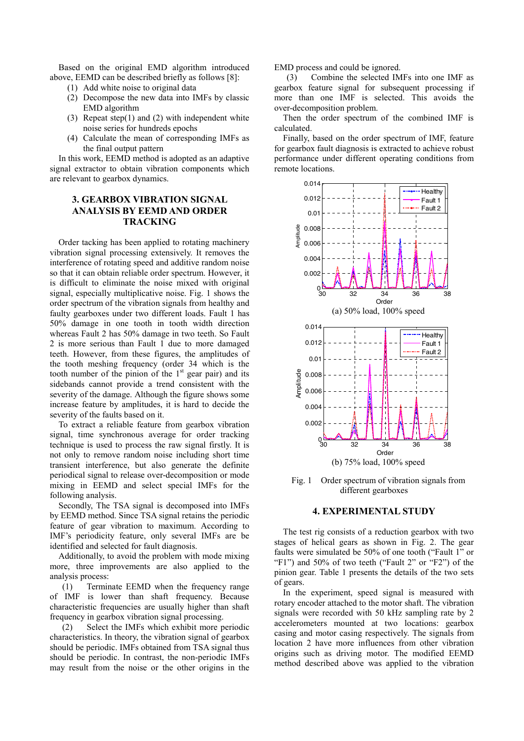Based on the original EMD algorithm introduced above, EEMD can be described briefly as follows [8]:

- (1) Add white noise to original data
- (2) Decompose the new data into IMFs by classic EMD algorithm
- (3) Repeat step(1) and (2) with independent white noise series for hundreds epochs
- (4) Calculate the mean of corresponding IMFs as the final output pattern

In this work, EEMD method is adopted as an adaptive signal extractor to obtain vibration components which are relevant to gearbox dynamics.

# **3. GEARBOX VIBRATION SIGNAL ANALYSIS BY EEMD AND ORDER TRACKING**

Order tacking has been applied to rotating machinery vibration signal processing extensively. It removes the interference of rotating speed and additive random noise so that it can obtain reliable order spectrum. However, it is difficult to eliminate the noise mixed with original signal, especially multiplicative noise. Fig. 1 shows the order spectrum of the vibration signals from healthy and faulty gearboxes under two different loads. Fault 1 has 50% damage in one tooth in tooth width direction whereas Fault 2 has 50% damage in two teeth. So Fault 2 is more serious than Fault 1 due to more damaged teeth. However, from these figures, the amplitudes of the tooth meshing frequency (order 34 which is the tooth number of the pinion of the  $1<sup>st</sup>$  gear pair) and its sidebands cannot provide a trend consistent with the severity of the damage. Although the figure shows some increase feature by amplitudes, it is hard to decide the severity of the faults based on it.

To extract a reliable feature from gearbox vibration signal, time synchronous average for order tracking technique is used to process the raw signal firstly. It is not only to remove random noise including short time transient interference, but also generate the definite periodical signal to release over-decomposition or mode mixing in EEMD and select special IMFs for the following analysis.

Secondly, The TSA signal is decomposed into IMFs by EEMD method. Since TSA signal retains the periodic feature of gear vibration to maximum. According to IMF's periodicity feature, only several IMFs are be identified and selected for fault diagnosis.

Additionally, to avoid the problem with mode mixing more, three improvements are also applied to the analysis process:

(1) Terminate EEMD when the frequency range of IMF is lower than shaft frequency. Because characteristic frequencies are usually higher than shaft frequency in gearbox vibration signal processing.

(2) Select the IMFs which exhibit more periodic characteristics. In theory, the vibration signal of gearbox should be periodic. IMFs obtained from TSA signal thus should be periodic. In contrast, the non-periodic IMFs may result from the noise or the other origins in the

EMD process and could be ignored.

(3) Combine the selected IMFs into one IMF as gearbox feature signal for subsequent processing if more than one IMF is selected. This avoids the over-decomposition problem.

Then the order spectrum of the combined IMF is calculated.

Finally, based on the order spectrum of IMF, feature for gearbox fault diagnosis is extracted to achieve robust performance under different operating conditions from remote locations.



Fig. 1 Order spectrum of vibration signals from different gearboxes

## **4. EXPERIMENTAL STUDY**

The test rig consists of a reduction gearbox with two stages of helical gears as shown in Fig. 2. The gear faults were simulated be 50% of one tooth ("Fault 1" or "F1") and 50% of two teeth ("Fault 2" or "F2") of the pinion gear. Table 1 presents the details of the two sets of gears.

In the experiment, speed signal is measured with rotary encoder attached to the motor shaft. The vibration signals were recorded with 50 kHz sampling rate by 2 accelerometers mounted at two locations: gearbox casing and motor casing respectively. The signals from location 2 have more influences from other vibration origins such as driving motor. The modified EEMD method described above was applied to the vibration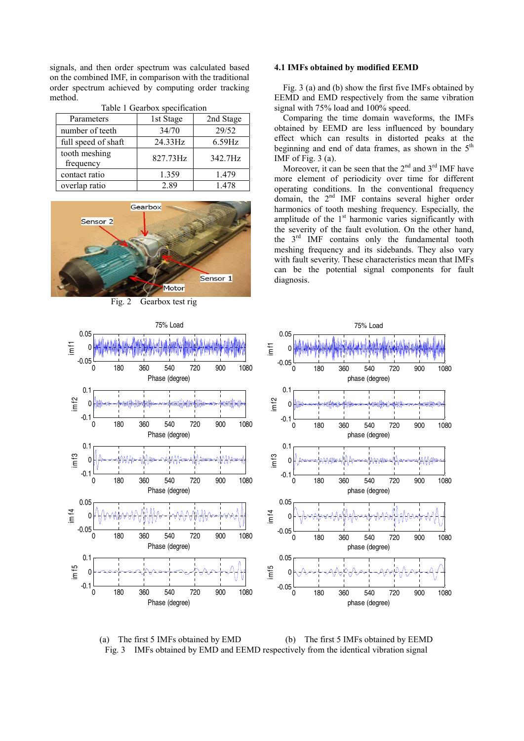signals, and then order spectrum was calculated based on the combined IMF, in comparison with the traditional order spectrum achieved by computing order tracking method.

| Parameters                 | 1st Stage | 2nd Stage |
|----------------------------|-----------|-----------|
| number of teeth            | 34/70     | 29/52     |
| full speed of shaft        | 24.33Hz   | $6.59$ Hz |
| tooth meshing<br>frequency | 827.73Hz  | 342.7Hz   |
| contact ratio              | 1.359     | 1.479     |
| overlap ratio              | 2.89      | 1.478     |

### Table 1 Gearbox specification



Fig. 2 Gearbox test rig

im f1

im f4



### **4.1 IMFs obtained by modified EEMD**

Fig. 3 (a) and (b) show the first five IMFs obtained by EEMD and EMD respectively from the same vibration signal with 75% load and 100% speed.

Comparing the time domain waveforms, the IMFs obtained by EEMD are less influenced by boundary effect which can results in distorted peaks at the beginning and end of data frames, as shown in the  $5<sup>th</sup>$ IMF of Fig.  $3$  (a).

Moreover, it can be seen that the  $2<sup>nd</sup>$  and  $3<sup>rd</sup>$  IMF have more element of periodicity over time for different operating conditions. In the conventional frequency domain, the 2<sup>nd</sup> IMF contains several higher order harmonics of tooth meshing frequency. Especially, the amplitude of the  $1<sup>st</sup>$  harmonic varies significantly with the severity of the fault evolution. On the other hand, the 3rd IMF contains only the fundamental tooth meshing frequency and its sidebands. They also vary with fault severity. These characteristics mean that IMFs can be the potential signal components for fault diagnosis.



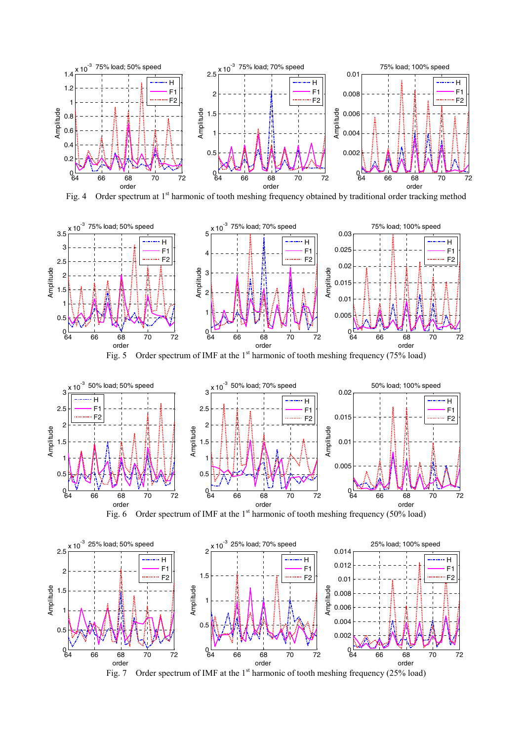

Fig. 4 Order spectrum at 1<sup>st</sup> harmonic of tooth meshing frequency obtained by traditional order tracking method



Fig. 5 Order spectrum of IMF at the  $1<sup>st</sup>$  harmonic of tooth meshing frequency (75% load)







Fig. 7 Order spectrum of IMF at the  $1<sup>st</sup>$  harmonic of tooth meshing frequency (25% load)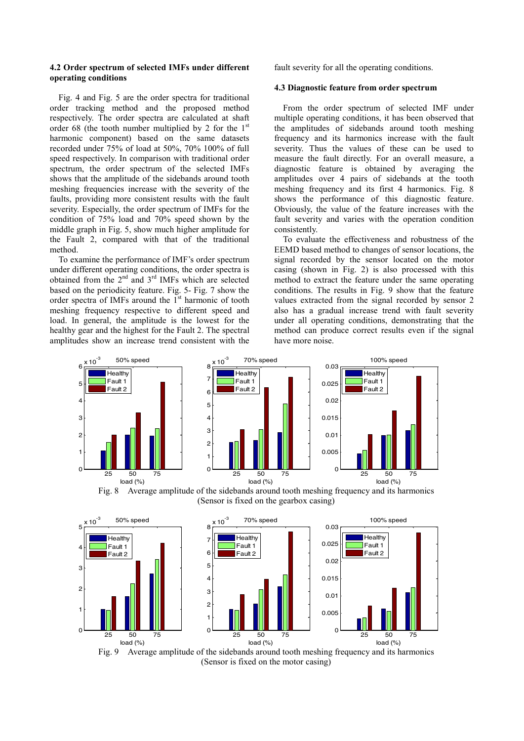### **4.2 Order spectrum of selected IMFs under different operating conditions**

Fig. 4 and Fig. 5 are the order spectra for traditional order tracking method and the proposed method respectively. The order spectra are calculated at shaft order 68 (the tooth number multiplied by 2 for the  $1<sup>st</sup>$ harmonic component) based on the same datasets recorded under 75% of load at 50%, 70% 100% of full speed respectively. In comparison with traditional order spectrum, the order spectrum of the selected IMFs shows that the amplitude of the sidebands around tooth meshing frequencies increase with the severity of the faults, providing more consistent results with the fault severity. Especially, the order spectrum of IMFs for the condition of 75% load and 70% speed shown by the middle graph in Fig. 5, show much higher amplitude for the Fault 2, compared with that of the traditional method.

To examine the performance of IMF's order spectrum under different operating conditions, the order spectra is obtained from the 2nd and 3rd IMFs which are selected based on the periodicity feature. Fig. 5- Fig. 7 show the order spectra of IMFs around the  $1<sup>st</sup>$  harmonic of tooth meshing frequency respective to different speed and load. In general, the amplitude is the lowest for the healthy gear and the highest for the Fault 2. The spectral amplitudes show an increase trend consistent with the fault severity for all the operating conditions.

### **4.3 Diagnostic feature from order spectrum**

From the order spectrum of selected IMF under multiple operating conditions, it has been observed that the amplitudes of sidebands around tooth meshing frequency and its harmonics increase with the fault severity. Thus the values of these can be used to measure the fault directly. For an overall measure, a diagnostic feature is obtained by averaging the amplitudes over 4 pairs of sidebands at the tooth meshing frequency and its first 4 harmonics. Fig. 8 shows the performance of this diagnostic feature. Obviously, the value of the feature increases with the fault severity and varies with the operation condition consistently.

To evaluate the effectiveness and robustness of the EEMD based method to changes of sensor locations, the signal recorded by the sensor located on the motor casing (shown in Fig. 2) is also processed with this method to extract the feature under the same operating conditions. The results in Fig. 9 show that the feature values extracted from the signal recorded by sensor 2 also has a gradual increase trend with fault severity under all operating conditions, demonstrating that the method can produce correct results even if the signal have more noise.







Fig. 9 Average amplitude of the sidebands around tooth meshing frequency and its harmonics (Sensor is fixed on the motor casing)